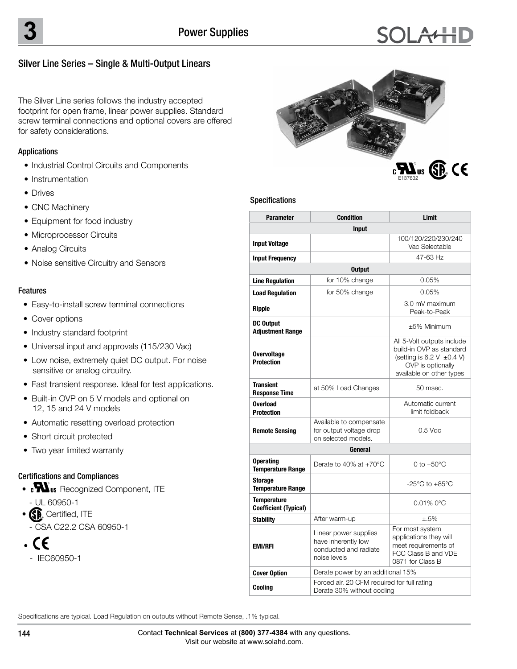## Silver Line Series – Single & Multi-Output Linears

The Silver Line series follows the industry accepted footprint for open frame, linear power supplies. Standard screw terminal connections and optional covers are offered for safety considerations.

## Applications

- Industrial Control Circuits and Components
- Instrumentation
- Drives
- CNC Machinery
- Equipment for food industry
- Microprocessor Circuits
- Analog Circuits
- Noise sensitive Circuitry and Sensors

## Features

- Easy-to-install screw terminal connections
- Cover options
- Industry standard footprint
- Universal input and approvals (115/230 Vac)
- Low noise, extremely quiet DC output. For noise sensitive or analog circuitry.
- Fast transient response. Ideal for test applications.
- Built-in OVP on 5 V models and optional on 12, 15 and 24 V models
- Automatic resetting overload protection
- Short circuit protected
- Two year limited warranty

## Certifications and Compliances

- **MUs** Recognized Component, ITE **E137632 CUL/CSA-C22.2** - UL 60950-1
- **SP** Certified, ITE
- CSA C22.2 CSA 60950-1
- CE •
	- IEC60950-1



### Specifications

| <b>Parameter</b>                                   | <b>Condition</b>                                                                      | Limit                                                                                                                                     |  |  |  |  |  |
|----------------------------------------------------|---------------------------------------------------------------------------------------|-------------------------------------------------------------------------------------------------------------------------------------------|--|--|--|--|--|
| <b>Input</b>                                       |                                                                                       |                                                                                                                                           |  |  |  |  |  |
| <b>Input Voltage</b>                               |                                                                                       | 100/120/220/230/240<br>Vac Selectable                                                                                                     |  |  |  |  |  |
| <b>Input Frequency</b>                             |                                                                                       | 47-63 Hz                                                                                                                                  |  |  |  |  |  |
| <b>Output</b>                                      |                                                                                       |                                                                                                                                           |  |  |  |  |  |
| <b>Line Regulation</b>                             | for 10% change                                                                        | 0.05%                                                                                                                                     |  |  |  |  |  |
| <b>Load Regulation</b>                             | for 50% change                                                                        | 0.05%                                                                                                                                     |  |  |  |  |  |
| Ripple                                             |                                                                                       | 3.0 mV maximum<br>Peak-to-Peak                                                                                                            |  |  |  |  |  |
| <b>DC Output</b><br><b>Adjustment Range</b>        |                                                                                       | ±5% Minimum                                                                                                                               |  |  |  |  |  |
| <b>Overvoltage</b><br><b>Protection</b>            |                                                                                       | All 5-Volt outputs include<br>build-in OVP as standard<br>(setting is 6.2 V $\pm$ 0.4 V)<br>OVP is optionally<br>available on other types |  |  |  |  |  |
| <b>Transient</b><br><b>Response Time</b>           | at 50% Load Changes                                                                   | 50 msec.                                                                                                                                  |  |  |  |  |  |
| <b>Overload</b><br><b>Protection</b>               |                                                                                       | Automatic current<br>limit foldback                                                                                                       |  |  |  |  |  |
| <b>Remote Sensing</b>                              | Available to compensate<br>for output voltage drop<br>on selected models.             | $0.5$ Vdc                                                                                                                                 |  |  |  |  |  |
|                                                    | General                                                                               |                                                                                                                                           |  |  |  |  |  |
| <b>Operating</b><br><b>Temperature Range</b>       | Derate to 40% at $+70^{\circ}$ C                                                      | $0$ to $+50^{\circ}$ C                                                                                                                    |  |  |  |  |  |
| Storage<br><b>Temperature Range</b>                |                                                                                       | $-25^{\circ}$ C to $+85^{\circ}$ C                                                                                                        |  |  |  |  |  |
| <b>Temperature</b><br><b>Coefficient (Typical)</b> |                                                                                       | $0.01\%$ 0°C                                                                                                                              |  |  |  |  |  |
| <b>Stability</b>                                   | After warm-up                                                                         | ±.5%                                                                                                                                      |  |  |  |  |  |
| <b>EMI/RFI</b>                                     | Linear power supplies<br>have inherently low<br>conducted and radiate<br>noise levels | For most system<br>applications they will<br>meet requirements of<br>FCC Class B and VDF<br>0871 for Class B                              |  |  |  |  |  |
| <b>Cover Option</b>                                | Derate power by an additional 15%                                                     |                                                                                                                                           |  |  |  |  |  |
| Cooling                                            | Forced air. 20 CFM required for full rating<br>Derate 30% without cooling             |                                                                                                                                           |  |  |  |  |  |

Specifications are typical. Load Regulation on outputs without Remote Sense, .1% typical.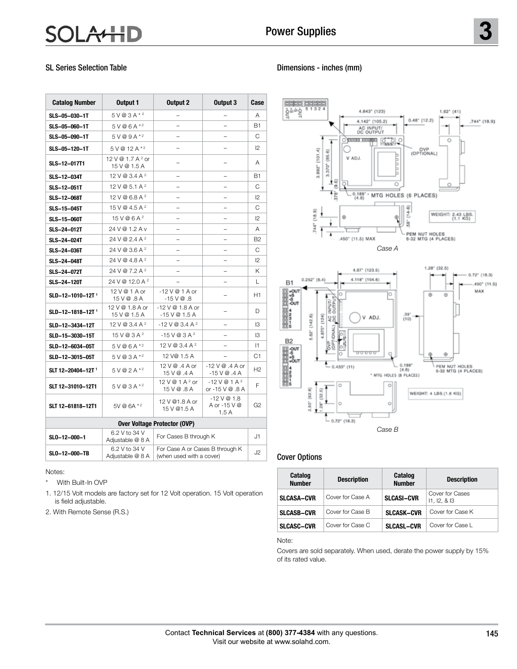# **A4HD**

## SL Series Selection Table

Notes:

With Built-In OVP

 is field adjustable. 2. With Remote Sense (R.S.)

| <b>Catalog Number</b>               | Output 1                                     | Output 2                                                    | Output 3                           | Case           |  |  |  |
|-------------------------------------|----------------------------------------------|-------------------------------------------------------------|------------------------------------|----------------|--|--|--|
| SLS-05-030-1T                       | $5V@3A*2$                                    |                                                             |                                    | Α              |  |  |  |
| SLS-05-060-1T                       | $5V@6A*2$                                    |                                                             |                                    | <b>B1</b>      |  |  |  |
| SLS-05-090-1T                       | $5V@9A*2$                                    |                                                             |                                    | C              |  |  |  |
| SLS-05-120-1T                       | 5 V @ 12 A *2                                |                                                             |                                    | $\mathsf{I}$   |  |  |  |
| SLS-12-017T1                        | 12 V @ 1.7 A <sup>2</sup> or<br>15 V @ 1.5 A |                                                             |                                    | Α              |  |  |  |
| SLS-12-034T                         | 12 V @ 3.4 A <sup>2</sup>                    |                                                             |                                    | <b>B1</b>      |  |  |  |
| SLS-12-051T                         | 12 V @ 5.1 A <sup>2</sup>                    |                                                             |                                    | C              |  |  |  |
| SLS-12-068T                         | 12 V @ 6.8 A $2$                             |                                                             |                                    | 12             |  |  |  |
| SLS-15-045T                         | $15V@4.5A^2$                                 |                                                             |                                    | C              |  |  |  |
| <b>SLS-15-060T</b>                  | 15V@6A <sup>2</sup>                          |                                                             |                                    | 12             |  |  |  |
| SLS-24-012T                         | 24 V @ 1.2 A v                               |                                                             |                                    | Α              |  |  |  |
| SLS-24-024T                         | 24 V @ 2.4 A <sup>2</sup>                    |                                                             |                                    | B <sub>2</sub> |  |  |  |
| SLS-24-036T                         | 24 V @ 3.6 A <sup>2</sup>                    |                                                             |                                    | C              |  |  |  |
| <b>SLS-24-048T</b>                  | 24 V @ 4.8 A <sup>2</sup>                    |                                                             |                                    | 12             |  |  |  |
| SLS-24-072T                         | 24 V @ 7.2 A <sup>2</sup>                    |                                                             |                                    | Κ              |  |  |  |
| <b>SLS-24-120T</b>                  | 24 V @ 12.0 A <sup>2</sup>                   |                                                             |                                    | L              |  |  |  |
| SLD-12-1010-12T <sup>1</sup>        | 12 V @ 1 A or<br>15 V @ .8 A                 | $-12$ V @ 1 A or<br>$-15$ V $@.8$                           |                                    | H1             |  |  |  |
| SLD-12-1818-12T <sup>1</sup>        | 12 V @ 1.8 A or<br>15 V @ 1.5 A              | $-12$ V @ 1.8 A or<br>$-15V@1.5A$                           |                                    | D.             |  |  |  |
| SLD-12-3434-12T                     | 12 V @ 3.4 A $2$                             | $-12$ V @ 3.4 A $^{2}$                                      |                                    | IЗ             |  |  |  |
| SLD-15-3030-15T                     | $15 \text{ V} \text{ @ } 3 \text{ A}^2$      | $-15$ V @ 3 A $^{2}$                                        |                                    | IЗ             |  |  |  |
| SLD-12-6034-05T                     | $5V@6A*2$                                    | 12 V @ 3.4 A <sup>2</sup>                                   |                                    | $\vert$ 1      |  |  |  |
| SLD-12-3015-05T                     | $5V@3A*2$                                    | 12 V@ 1.5 A                                                 |                                    | C1             |  |  |  |
| SLT 12-20404-12T <sup>1</sup>       | $5V@2A*2$                                    | 12 V @ .4 A or<br>15 V @ .4 A                               | $-12V@.4A$ or<br>$-15V@.4A$        | H2             |  |  |  |
| SLT 12-31010-12T1                   | $5V@3A*2$                                    | 12 V @ 1 A <sup>2</sup> or<br>15 V @ .8 A                   | $-12V@1A2$<br>or -15 V @ .8 A      | F              |  |  |  |
| SLT 12-61818-12T1                   | 5V @ 6A *2                                   | 12 V @1.8 A or<br>15 V @1.5 A                               | $-12V@1.8$<br>A or -15 V @<br>1.5A | G <sub>2</sub> |  |  |  |
| <b>Over Voltage Protector (OVP)</b> |                                              |                                                             |                                    |                |  |  |  |
| SL0-12-000-1                        | 6.2 V to 34 V<br>Adjustable @ 8 A            | For Cases B through K                                       |                                    | J1.            |  |  |  |
| SL0-12-000-TB                       | 6.2 V to 34 V<br>Adjustable @ 8 A            | For Case A or Cases B through K<br>(when used with a cover) |                                    | J2             |  |  |  |

1. 12/15 Volt models are factory set for 12 Volt operation. 15 Volt operation

## Dimensions - inches (mm)



## Cover Options

| Catalog<br><b>Number</b> | <b>Description</b> | Catalog<br><b>Number</b> | <b>Description</b>               |
|--------------------------|--------------------|--------------------------|----------------------------------|
| <b>SLCASA-CVR</b>        | Cover for Case A   | <b>SLCASI-CVR</b>        | Cover for Cases<br>11, 12, 8, 13 |
| <b>SLCASB-CVR</b>        | Cover for Case B   | <b>SLCASK-CVR</b>        | Cover for Case K                 |
| <b>SLCASC-CVR</b>        | Cover for Case C   | <b>SLCASL-CVR</b>        | Cover for Case I                 |

Note:

Covers are sold separately. When used, derate the power supply by 15% of its rated value.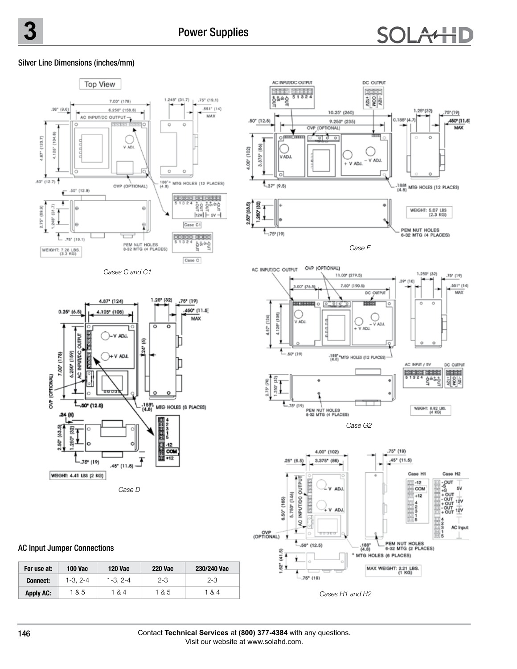# **SOLAHIL**

## Silver Line Dimensions (inches/mm)



## AC Input Jumper Connections

| For use at:      | 100 Vac   | 120 Vac   | 220 Vac | 230/240 Vac |
|------------------|-----------|-----------|---------|-------------|
| <b>Connect:</b>  | $1-3.2-4$ | $1-3.2-4$ | $2-3$   | $2 - 3$     |
| <b>Apply AC:</b> | 1 & 5     | 1 & 4     | 1 & 5   | 1 & 4       |